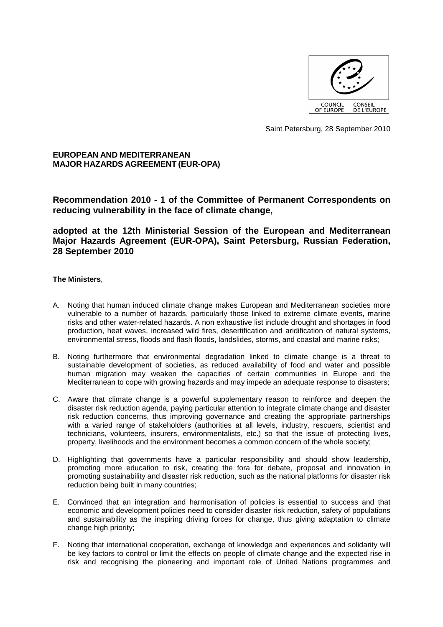

Saint Petersburg, 28 September 2010

# **EUROPEAN AND MEDITERRANEAN MAJOR HAZARDS AGREEMENT (EUR-OPA)**

**Recommendation 2010 - 1 of the Committee of Permanent Correspondents on reducing vulnerability in the face of climate change,** 

**adopted at the 12th Ministerial Session of the European and Mediterranean Major Hazards Agreement (EUR-OPA), Saint Petersburg, Russian Federation, 28 September 2010** 

# **The Ministers**,

- A. Noting that human induced climate change makes European and Mediterranean societies more vulnerable to a number of hazards, particularly those linked to extreme climate events, marine risks and other water-related hazards. A non exhaustive list include drought and shortages in food production, heat waves, increased wild fires, desertification and aridification of natural systems, environmental stress, floods and flash floods, landslides, storms, and coastal and marine risks;
- B. Noting furthermore that environmental degradation linked to climate change is a threat to sustainable development of societies, as reduced availability of food and water and possible human migration may weaken the capacities of certain communities in Europe and the Mediterranean to cope with growing hazards and may impede an adequate response to disasters;
- C. Aware that climate change is a powerful supplementary reason to reinforce and deepen the disaster risk reduction agenda, paying particular attention to integrate climate change and disaster risk reduction concerns, thus improving governance and creating the appropriate partnerships with a varied range of stakeholders (authorities at all levels, industry, rescuers, scientist and technicians, volunteers, insurers, environmentalists, etc.) so that the issue of protecting lives, property, livelihoods and the environment becomes a common concern of the whole society;
- D. Highlighting that governments have a particular responsibility and should show leadership, promoting more education to risk, creating the fora for debate, proposal and innovation in promoting sustainability and disaster risk reduction, such as the national platforms for disaster risk reduction being built in many countries;
- E. Convinced that an integration and harmonisation of policies is essential to success and that economic and development policies need to consider disaster risk reduction, safety of populations and sustainability as the inspiring driving forces for change, thus giving adaptation to climate change high priority;
- F. Noting that international cooperation, exchange of knowledge and experiences and solidarity will be key factors to control or limit the effects on people of climate change and the expected rise in risk and recognising the pioneering and important role of United Nations programmes and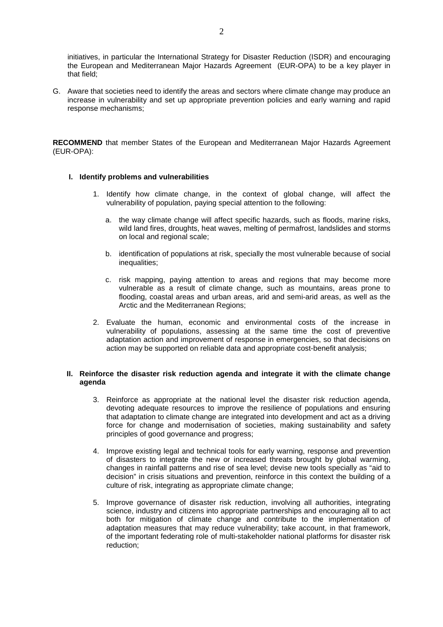initiatives, in particular the International Strategy for Disaster Reduction (ISDR) and encouraging the European and Mediterranean Major Hazards Agreement (EUR-OPA) to be a key player in that field;

G. Aware that societies need to identify the areas and sectors where climate change may produce an increase in vulnerability and set up appropriate prevention policies and early warning and rapid response mechanisms;

**RECOMMEND** that member States of the European and Mediterranean Major Hazards Agreement (EUR-OPA):

## **I. Identify problems and vulnerabilities**

- 1. Identify how climate change, in the context of global change, will affect the vulnerability of population, paying special attention to the following:
	- a. the way climate change will affect specific hazards, such as floods, marine risks, wild land fires, droughts, heat waves, melting of permafrost, landslides and storms on local and regional scale;
	- b. identification of populations at risk, specially the most vulnerable because of social inequalities;
	- c. risk mapping, paying attention to areas and regions that may become more vulnerable as a result of climate change, such as mountains, areas prone to flooding, coastal areas and urban areas, arid and semi-arid areas, as well as the Arctic and the Mediterranean Regions;
- 2. Evaluate the human, economic and environmental costs of the increase in vulnerability of populations, assessing at the same time the cost of preventive adaptation action and improvement of response in emergencies, so that decisions on action may be supported on reliable data and appropriate cost-benefit analysis;

#### **II. Reinforce the disaster risk reduction agenda and integrate it with the climate change agenda**

- 3. Reinforce as appropriate at the national level the disaster risk reduction agenda, devoting adequate resources to improve the resilience of populations and ensuring that adaptation to climate change are integrated into development and act as a driving force for change and modernisation of societies, making sustainability and safety principles of good governance and progress;
- 4. Improve existing legal and technical tools for early warning, response and prevention of disasters to integrate the new or increased threats brought by global warming, changes in rainfall patterns and rise of sea level; devise new tools specially as "aid to decision" in crisis situations and prevention, reinforce in this context the building of a culture of risk, integrating as appropriate climate change;
- 5. Improve governance of disaster risk reduction, involving all authorities, integrating science, industry and citizens into appropriate partnerships and encouraging all to act both for mitigation of climate change and contribute to the implementation of adaptation measures that may reduce vulnerability; take account, in that framework, of the important federating role of multi-stakeholder national platforms for disaster risk reduction;